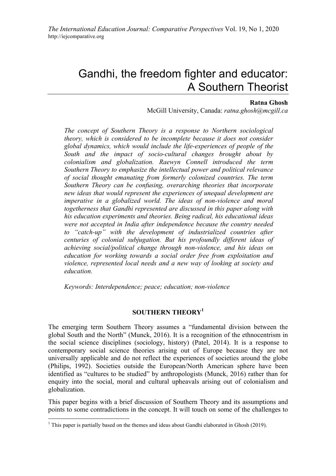# Gandhi, the freedom fighter and educator: A Southern Theorist

## **Ratna Ghosh**

McGill University, Canada: *ratna.ghosh@mcgill.ca*

*The concept of Southern Theory is a response to Northern sociological theory, which is considered to be incomplete because it does not consider global dynamics, which would include the life-experiences of people of the South and the impact of socio-cultural changes brought about by colonialism and globalization. Raewyn Connell introduced the term Southern Theory to emphasize the intellectual power and political relevance of social thought emanating from formerly colonized countries. The term Southern Theory can be confusing, overarching theories that incorporate new ideas that would represent the experiences of unequal development are imperative in a globalized world. The ideas of non-violence and moral togetherness that Gandhi represented are discussed in this paper along with his education experiments and theories. Being radical, his educational ideas were not accepted in India after independence because the country needed to "catch-up" with the development of industrialized countries after centuries of colonial subjugation. But his profoundly different ideas of achieving social/political change through non-violence, and his ideas on education for working towards a social order free from exploitation and violence, represented local needs and a new way of looking at society and education.*

*Keywords: Interdependence; peace; education; non-violence*

## **SOUTHERN THEORY<sup>1</sup>**

The emerging term Southern Theory assumes a "fundamental division between the global South and the North" (Munck, 2016). It is a recognition of the ethnocentrism in the social science disciplines (sociology, history) (Patel, 2014). It is a response to contemporary social science theories arising out of Europe because they are not universally applicable and do not reflect the experiences of societies around the globe (Philips, 1992). Societies outside the European/North American sphere have been identified as "cultures to be studied" by anthropologists (Munck, 2016) rather than for enquiry into the social, moral and cultural upheavals arising out of colonialism and globalization.

This paper begins with a brief discussion of Southern Theory and its assumptions and points to some contradictions in the concept. It will touch on some of the challenges to

 $1$  This paper is partially based on the themes and ideas about Gandhi elaborated in Ghosh (2019).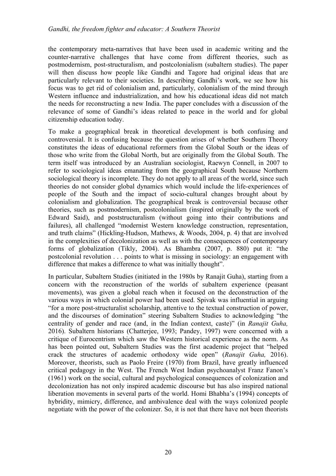the contemporary meta-narratives that have been used in academic writing and the counter-narrative challenges that have come from different theories, such as postmodernism, post-structuralism, and postcolonialism (subaltern studies). The paper will then discuss how people like Gandhi and Tagore had original ideas that are particularly relevant to their societies. In describing Gandhi's work, we see how his focus was to get rid of colonialism and, particularly, colonialism of the mind through Western influence and industrialization, and how his educational ideas did not match the needs for reconstructing a new India. The paper concludes with a discussion of the relevance of some of Gandhi's ideas related to peace in the world and for global citizenship education today.

To make a geographical break in theoretical development is both confusing and controversial. It is confusing because the question arises of whether Southern Theory constitutes the ideas of educational reformers from the Global South or the ideas of those who write from the Global North, but are originally from the Global South. The term itself was introduced by an Australian sociologist, Raewyn Connell, in 2007 to refer to sociological ideas emanating from the geographical South because Northern sociological theory is incomplete. They do not apply to all areas of the world, since such theories do not consider global dynamics which would include the life-experiences of people of the South and the impact of socio-cultural changes brought about by colonialism and globalization. The geographical break is controversial because other theories, such as postmodernism, postcolonialism (inspired originally by the work of Edward Said), and poststructuralism (without going into their contributions and failures), all challenged "modernist Western knowledge construction, representation, and truth claims" (Hickling-Hudson, Mathews, & Woods, 2004, p. 4) that are involved in the complexities of decolonization as well as with the consequences of contemporary forms of globalization (Tikly, 2004). As Bhambra (2007, p. 880) put it: "the postcolonial revolution . . . points to what is missing in sociology: an engagement with difference that makes a difference to what was initially thought".

In particular, Subaltern Studies (initiated in the 1980s by Ranajit Guha), starting from a concern with the reconstruction of the worlds of subaltern experience (peasant movements), was given a global reach when it focused on the deconstruction of the various ways in which colonial power had been used. Spivak was influential in arguing "for a more post-structuralist scholarship, attentive to the textual construction of power, and the discourses of domination" steering Subaltern Studies to acknowledging "the centrality of gender and race (and, in the Indian context, caste)" (in *Ranajit Guha,* 2016). Subaltern historians (Chatterjee, 1993; Pandey, 1997) were concerned with a critique of Eurocentrism which saw the Western historical experience as the norm. As has been pointed out, Subaltern Studies was the first academic project that "helped crack the structures of academic orthodoxy wide open" (*Ranajit Guha,* 2016). Moreover, theorists, such as Paolo Freire (1970) from Brazil, have greatly influenced critical pedagogy in the West. The French West Indian psychoanalyst Franz Fanon's (1961) work on the social, cultural and psychological consequences of colonization and decolonization has not only inspired academic discourse but has also inspired national liberation movements in several parts of the world. Homi Bhabha's (1994) concepts of hybridity, mimicry, difference, and ambivalence deal with the ways colonized people negotiate with the power of the colonizer. So, it is not that there have not been theorists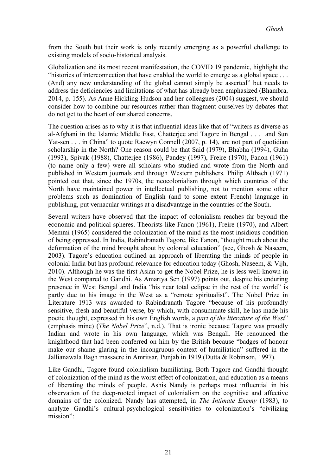from the South but their work is only recently emerging as a powerful challenge to existing models of socio-historical analysis.

Globalization and its most recent manifestation, the COVID 19 pandemic, highlight the "histories of interconnection that have enabled the world to emerge as a global space . . . (And) any new understanding of the global cannot simply be asserted" but needs to address the deficiencies and limitations of what has already been emphasized (Bhambra, 2014, p. 155). As Anne Hickling-Hudson and her colleagues (2004) suggest, we should consider how to combine our resources rather than fragment ourselves by debates that do not get to the heart of our shared concerns.

The question arises as to why it is that influential ideas like that of "writers as diverse as al-Afghani in the Islamic Middle East, Chatterjee and Tagore in Bengal . . . and Sun Yat-sen . . . in China" to quote Raewyn Connell (2007, p. 14), are not part of quotidian scholarship in the North? One reason could be that Said (1979), Bhabha (1994), Guha (1993), Spivak (1988), Chatterjee (1986), Pandey (1997), Freire (1970), Fanon (1961) (to name only a few) were all scholars who studied and wrote from the North and published in Western journals and through Western publishers. Philip Altbach (1971) pointed out that, since the 1970s, the neocolonialism through which countries of the North have maintained power in intellectual publishing, not to mention some other problems such as domination of English (and to some extent French) language in publishing, put vernacular writings at a disadvantage in the countries of the South.

Several writers have observed that the impact of colonialism reaches far beyond the economic and political spheres. Theorists like Fanon (1961), Freire (1970), and Albert Memmi (1965) considered the colonization of the mind as the most insidious condition of being oppressed. In India, Rabindranath Tagore, like Fanon, "thought much about the deformation of the mind brought about by colonial education" (see, Ghosh & Naseem, 2003). Tagore's education outlined an approach of liberating the minds of people in colonial India but has profound relevance for education today (Ghosh, Naseem, & Vijh, 2010). Although he was the first Asian to get the Nobel Prize, he is less well-known in the West compared to Gandhi. As Amartya Sen (1997) points out, despite his enduring presence in West Bengal and India "his near total eclipse in the rest of the world" is partly due to his image in the West as a "remote spiritualist". The Nobel Prize in Literature 1913 was awarded to Rabindranath Tagore "because of his profoundly sensitive, fresh and beautiful verse, by which, with consummate skill, he has made his poetic thought, expressed in his own English words, a *part of the literature of the West*" (emphasis mine) (*The Nobel Prize*", n.d.). That is ironic because Tagore was proudly Indian and wrote in his own language, which was Bengali. He renounced the knighthood that had been conferred on him by the British because "badges of honour make our shame glaring in the incongruous context of humiliation" suffered in the Jallianawala Bagh massacre in Amritsar, Punjab in 1919 (Dutta & Robinson, 1997).

Like Gandhi, Tagore found colonialism humiliating. Both Tagore and Gandhi thought of colonization of the mind as the worst effect of colonization, and education as a means of liberating the minds of people. Ashis Nandy is perhaps most influential in his observation of the deep-rooted impact of colonialism on the cognitive and affective domains of the colonized. Nandy has attempted, in *The Intimate Enemy* (1983), to analyze Gandhi's cultural-psychological sensitivities to colonization's "civilizing mission":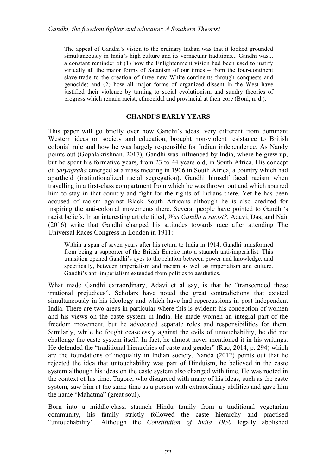The appeal of Gandhi's vision to the ordinary Indian was that it looked grounded simultaneously in India's high culture and its vernacular traditions... Gandhi was... a constant reminder of (1) how the Enlightenment vision had been used to justify virtually all the major forms of Satanism of our times – from the four-continent slave-trade to the creation of three new White continents through conquests and genocide; and (2) how all major forms of organized dissent in the West have justified their violence by turning to social evolutionism and sundry theories of progress which remain racist, ethnocidal and provincial at their core (Boni, n. d.).

#### **GHANDI'S EARLY YEARS**

This paper will go briefly over how Gandhi's ideas, very different from dominant Western ideas on society and education, brought non-violent resistance to British colonial rule and how he was largely responsible for Indian independence. As Nandy points out (Gopalakrishnan, 2017), Gandhi was influenced by India, where he grew up, but he spent his formative years, from 23 to 44 years old, in South Africa. His concept of *Satyagraha* emerged at a mass meeting in 1906 in South Africa, a country which had apartheid (institutionalized racial segregation). Gandhi himself faced racism when travelling in a first-class compartment from which he was thrown out and which spurred him to stay in that country and fight for the rights of Indians there. Yet he has been accused of racism against Black South Africans although he is also credited for inspiring the anti-colonial movements there. Several people have pointed to Gandhi's racist beliefs. In an interesting article titled, *Was Gandhi a racist?*, Adavi, Das, and Nair (2016) write that Gandhi changed his attitudes towards race after attending The Universal Races Congress in London in 1911:

Within a span of seven years after his return to India in 1914, Gandhi transformed from being a supporter of the British Empire into a staunch anti-imperialist. This transition opened Gandhi's eyes to the relation between power and knowledge, and specifically, between imperialism and racism as well as imperialism and culture. Gandhi's anti-imperialism extended from politics to aesthetics.

What made Gandhi extraordinary, Adavi et al say, is that he "transcended these irrational prejudices". Scholars have noted the great contradictions that existed simultaneously in his ideology and which have had repercussions in post-independent India. There are two areas in particular where this is evident: his conception of women and his views on the caste system in India. He made women an integral part of the freedom movement, but he advocated separate roles and responsibilities for them. Similarly, while he fought ceaselessly against the evils of untouchability, he did not challenge the caste system itself. In fact, he almost never mentioned it in his writings. He defended the "traditional hierarchies of caste and gender" (Rao, 2014, p. 294) which are the foundations of inequality in Indian society. Nanda (2012) points out that he rejected the idea that untouchability was part of Hinduism, he believed in the caste system although his ideas on the caste system also changed with time. He was rooted in the context of his time. Tagore, who disagreed with many of his ideas, such as the caste system, saw him at the same time as a person with extraordinary abilities and gave him the name "Mahatma" (great soul).

Born into a middle-class, staunch Hindu family from a traditional vegetarian community, his family strictly followed the caste hierarchy and practised "untouchability". Although the *Constitution of India 1950* legally abolished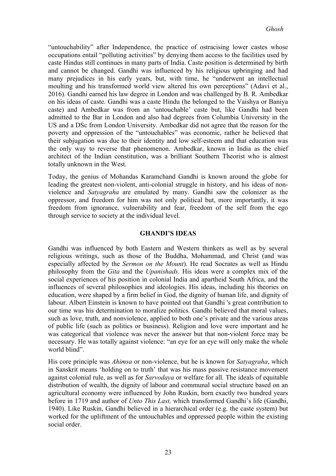"untouchability" after Independence, the practice of ostracising lower castes whose occupations entail "polluting activities" by denying them access to the facilities used by caste Hindus still continues in many parts of India. Caste position is determined by birth and cannot be changed. Gandhi was influenced by his religious upbringing and had many prejudices in his early years, but, with time, he "underwent an intellectual moulting and his transformed world view altered his own perceptions" (Adavi et al., 2016). Gandhi earned his law degree in London and was challenged by B. R. Ambedkar on his ideas of caste. Gandhi was a caste Hindu (he belonged to the Vaishya or Baniya caste) and Ambedkar was from an 'untouchable' caste but, like Gandhi had been admitted to the Bar in London and also had degrees from Columbia University in the US and a DSc from London University. Ambedkar did not agree that the reason for the poverty and oppression of the "untouchables" was economic, rather he believed that their subjugation was due to their identity and low self-esteem and that education was the only way to reverse that phenomenon. Ambedkar, known in India as the chief architect of the Indian constitution, was a brilliant Southern Theorist who is almost totally unknown in the West.

Today, the genius of Mohandas Karamchand Gandhi is known around the globe for leading the greatest non-violent, anti-colonial struggle in history, and his ideas of nonviolence and *Satyagraha* are emulated by many. Gandhi saw the colonizer as the oppressor, and freedom for him was not only political but, more importantly, it was freedom from ignorance, vulnerability and fear, freedom of the self from the ego through service to society at the individual level.

#### **GHANDI'S IDEAS**

Gandhi was influenced by both Eastern and Western thinkers as well as by several religious writings, such as those of the Buddha, Mohammad, and Christ (and was especially affected by the *Sermon on the Mount*). He read Socrates as well as Hindu philosophy from the *Gita* and the *Upanishads*. His ideas were a complex mix of the social experiences of his position in colonial India and apartheid South Africa, and the influences of several philosophies and ideologies. His ideas, including his theories on education, were shaped by a firm belief in God, the dignity of human life, and dignity of labour. Albert Einstein is known to have pointed out that Gandhi 's great contribution to our time was his determination to moralize politics. Gandhi believed that moral values, such as love, truth, and nonviolence, applied to both one's private and the various areas of public life (such as politics or business). Religion and love were important and he was categorical that violence was never the answer but that non-violent force may be necessary. He was totally against violence: "an eye for an eye will only make the whole world blind".

His core principle was *Ahimsa* or non-violence, but he is known for *Satyagraha*, which in Sanskrit means 'holding on to truth' that was his mass passive resistance movement against colonial rule, as well as for *Sarvodaya* or welfare for all. The ideals of equitable distribution of wealth, the dignity of labour and communal social structure based on an agricultural economy were influenced by John Ruskin, born exactly two hundred years before in 1719 and author of *Unto This Last,* which transformed Gandhi's life (Gandhi, 1940). Like Ruskin, Gandhi believed in a hierarchical order (e.g. the caste system) but worked for the upliftment of the untouchables and oppressed people within the existing social order.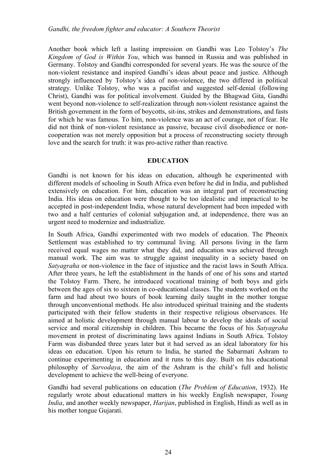Another book which left a lasting impression on Gandhi was Leo Tolstoy's *The Kingdom of God is Within You*, which was banned in Russia and was published in Germany. Tolstoy and Gandhi corresponded for several years. He was the source of the non-violent resistance and inspired Gandhi's ideas about peace and justice. Although strongly influenced by Tolstoy's idea of non-violence, the two differed in political strategy. Unlike Tolstoy, who was a pacifist and suggested self-denial (following Christ), Gandhi was for political involvement. Guided by the Bhagwad Gita, Gandhi went beyond non-violence to self-realization through non-violent resistance against the British government in the form of boycotts, sit-ins, strikes and demonstrations, and fasts for which he was famous. To him, non-violence was an act of courage, not of fear. He did not think of non-violent resistance as passive, because civil disobedience or noncooperation was not merely opposition but a process of reconstructing society through love and the search for truth: it was pro-active rather than reactive.

#### **EDUCATION**

Gandhi is not known for his ideas on education, although he experimented with different models of schooling in South Africa even before he did in India, and published extensively on education. For him, education was an integral part of reconstructing India. His ideas on education were thought to be too idealistic and impractical to be accepted in post-independent India, whose natural development had been impeded with two and a half centuries of colonial subjugation and, at independence, there was an urgent need to modernize and industrialize.

In South Africa, Gandhi experimented with two models of education. The Pheonix Settlement was established to try communal living. All persons living in the farm received equal wages no matter what they did, and education was achieved through manual work. The aim was to struggle against inequality in a society based on *Satyagraha* or non-violence in the face of injustice and the racist laws in South Africa. After three years, he left the establishment in the hands of one of his sons and started the Tolstoy Farm. There, he introduced vocational training of both boys and girls between the ages of six to sixteen in co-educational classes. The students worked on the farm and had about two hours of book learning daily taught in the mother tongue through unconventional methods. He also introduced spiritual training and the students participated with their fellow students in their respective religious observances. He aimed at holistic development through manual labour to develop the ideals of social service and moral citizenship in children. This became the focus of his *Satyagraha* movement in protest of discriminating laws against Indians in South Africa. Tolstoy Farm was disbanded three years later but it had served as an ideal laboratory for his ideas on education. Upon his return to India, he started the Sabarmati Ashram to continue experimenting in education and it runs to this day. Built on his educational philosophy of *Sarvodaya*, the aim of the Ashram is the child's full and holistic development to achieve the well-being of everyone.

Gandhi had several publications on education (*The Problem of Education*, 1932). He regularly wrote about educational matters in his weekly English newspaper, *Young India*, and another weekly newspaper, *Harijan*, published in English, Hindi as well as in his mother tongue Gujarati.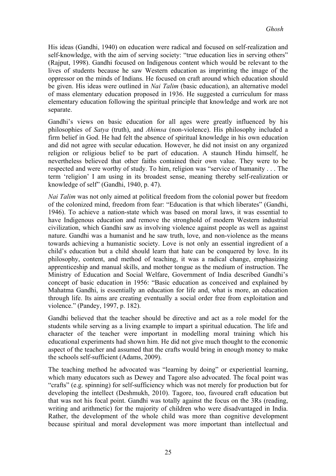His ideas (Gandhi, 1940) on education were radical and focused on self-realization and self-knowledge, with the aim of serving society: "true education lies in serving others" (Rajput, 1998). Gandhi focused on Indigenous content which would be relevant to the lives of students because he saw Western education as imprinting the image of the oppressor on the minds of Indians. He focused on craft around which education should be given. His ideas were outlined in *Nai Talim* (basic education), an alternative model of mass elementary education proposed in 1936. He suggested a curriculum for mass elementary education following the spiritual principle that knowledge and work are not separate.

Gandhi's views on basic education for all ages were greatly influenced by his philosophies of *Satya* (truth), and *Ahimsa* (non-violence). His philosophy included a firm belief in God. He had felt the absence of spiritual knowledge in his own education and did not agree with secular education. However, he did not insist on any organized religion or religious belief to be part of education. A staunch Hindu himself, he nevertheless believed that other faiths contained their own value. They were to be respected and were worthy of study. To him, religion was "service of humanity . . . The term 'religion' I am using in its broadest sense, meaning thereby self-realization or knowledge of self" (Gandhi, 1940, p. 47).

*Nai Talim* was not only aimed at political freedom from the colonial power but freedom of the colonized mind, freedom from fear: "Education is that which liberates" (Gandhi, 1946). To achieve a nation-state which was based on moral laws, it was essential to have Indigenous education and remove the stronghold of modern Western industrial civilization, which Gandhi saw as involving violence against people as well as against nature. Gandhi was a humanist and he saw truth, love, and non-violence as the means towards achieving a humanistic society. Love is not only an essential ingredient of a child's education but a child should learn that hate can be conquered by love. In its philosophy, content, and method of teaching, it was a radical change, emphasizing apprenticeship and manual skills, and mother tongue as the medium of instruction. The Ministry of Education and Social Welfare, Government of India described Gandhi's concept of basic education in 1956: "Basic education as conceived and explained by Mahatma Gandhi, is essentially an education for life and, what is more, an education through life. Its aims are creating eventually a social order free from exploitation and violence." (Pandey, 1997, p. 182).

Gandhi believed that the teacher should be directive and act as a role model for the students while serving as a living example to impart a spiritual education. The life and character of the teacher were important in modelling moral training which his educational experiments had shown him. He did not give much thought to the economic aspect of the teacher and assumed that the crafts would bring in enough money to make the schools self-sufficient (Adams, 2009).

The teaching method he advocated was "learning by doing" or experiential learning, which many educators such as Dewey and Tagore also advocated. The focal point was "crafts" (e.g. spinning) for self-sufficiency which was not merely for production but for developing the intellect (Deshmukh, 2010). Tagore, too, favoured craft education but that was not his focal point. Gandhi was totally against the focus on the 3Rs (reading, writing and arithmetic) for the majority of children who were disadvantaged in India. Rather, the development of the whole child was more than cognitive development because spiritual and moral development was more important than intellectual and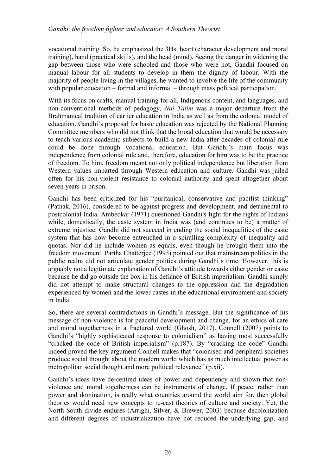vocational training. So, he emphasized the 3Hs: heart (character development and moral training), hand (practical skills), and the head (mind). Seeing the danger in widening the gap between those who were schooled and those who were not, Gandhi focused on manual labour for all students to develop in them the dignity of labour. With the majority of people living in the villages, he wanted to involve the life of the community with popular education – formal and informal – through mass political participation.

With its focus on crafts, manual training for all, Indigenous content, and languages, and non-conventional methods of pedagogy, *Nai Talim* was a major departure from the Brahmanical tradition of earlier education in India as well as from the colonial model of education. Gandhi's proposal for basic education was rejected by the National Planning Committee members who did not think that the broad education that would be necessary to teach various academic subjects to build a new India after decades of colonial rule could be done through vocational education. But Gandhi's main focus was independence from colonial rule and, therefore, education for him was to be the practice of freedom. To him, freedom meant not only political independence but liberation from Western values imparted through Western education and culture. Gandhi was jailed often for his non-violent resistance to colonial authority and spent altogether about seven years in prison.

Gandhi has been criticized for his "puritanical, conservative and pacifist thinking" (Pathak, 2016), considered to be against progress and development, and detrimental to postcolonial India. Ambedkar (1971) questioned Gandhi's fight for the rights of Indians while, domestically, the caste system in India was (and continues to be) a matter of extreme injustice. Gandhi did not succeed in ending the social inequalities of the caste system that has now become entrenched in a spiralling complexity of inequality and quotas. Nor did he include women as equals, even though he brought them into the freedom movement. Partha Chatterjee (1993) pointed out that mainstream politics in the public realm did not articulate gender politics during Gandhi's time. However, this is arguably not a legitimate explanation of Gandhi's attitude towards either gender or caste because he did go outside the box in his defiance of British imperialism. Gandhi simply did not attempt to make structural changes to the oppression and the degradation experienced by women and the lower castes in the educational environment and society in India.

So, there are several contradictions in Gandhi's message. But the significance of his message of non-violence is for peaceful development and change, for an ethics of care and moral togetherness in a fractured world (Ghosh, 2017). Connell (2007) points to Gandhi's "highly sophisticated response to colonialism" as having most successfully "cracked the code of British imperialism" (p.187). By "cracking the code" Gandhi indeed proved the key argument Connell makes that "colonised and peripheral societies produce social thought about the modern world which has as much intellectual power as metropolitan social thought and more political relevance" (p.xii).

Gandhi's ideas have de-centred ideas of power and dependency and shown that nonviolence and moral togetherness can be instruments of change. If peace, rather than power and domination, is really what countries around the world aim for, then global theories would need new concepts to re-cast theories of culture and society. Yet, the North-South divide endures (Arrighi, Silver, & Brewer, 2003) because decolonization and different degrees of industrialization have not reduced the underlying gap, and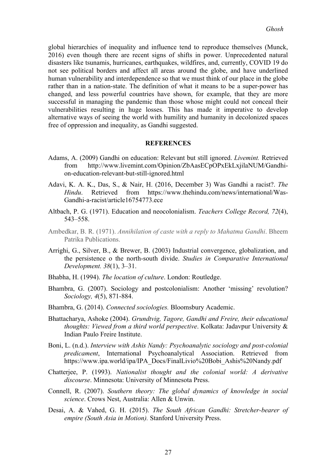global hierarchies of inequality and influence tend to reproduce themselves (Munck, 2016) even though there are recent signs of shifts in power. Unprecedented natural disasters like tsunamis, hurricanes, earthquakes, wildfires, and, currently, COVID 19 do not see political borders and affect all areas around the globe, and have underlined human vulnerability and interdependence so that we must think of our place in the globe rather than in a nation-state. The definition of what it means to be a super-power has changed, and less powerful countries have shown, for example, that they are more successful in managing the pandemic than those whose might could not conceal their vulnerabilities resulting in huge losses. This has made it imperative to develop alternative ways of seeing the world with humility and humanity in decolonized spaces free of oppression and inequality, as Gandhi suggested.

#### **REFERENCES**

- Adams, A. (2009) Gandhi on education: Relevant but still ignored. *Livemint.* Retrieved from http://www.livemint.com/Opinion/ZbAasECpOPxEkLxjilaNUM/Gandhion-education-relevant-but-still-ignored.html
- Adavi, K. A. K., Das, S., & Nair, H. (2016, December 3) Was Gandhi a racist?. *The Hindu*. Retrieved from https://www.thehindu.com/news/international/Was-Gandhi-a-racist/article16754773.ece
- Altbach, P. G. (1971). Education and neocolonialism. *Teachers College Record, 72*(4), 543–558.
- Ambedkar, B. R. (1971). *Annihilation of caste with a reply to Mahatma Gandhi*. Bheem Patrika Publications.
- Arrighi, G., Silver, B., & Brewer, B. (2003) Industrial convergence, globalization, and the persistence o the north-south divide. *Studies in Comparative International Development. 38*(1), 3–31.
- Bhabha, H. (1994). *The location of culture*. London: Routledge.
- Bhambra, G. (2007). Sociology and postcolonialism: Another 'missing' revolution? *Sociology, 4*(5), 871-884.
- Bhambra, G. (2014). *Connected sociologies.* Bloomsbury Academic.
- Bhattacharya, Ashoke (2004). *Grundtvig, Tagore, Gandhi and Freire, their educational thoughts: Viewed from a third world perspective*. Kolkata: Jadavpur University & Indian Paulo Freire Institute.
- Boni, L. (n.d.). *Interview with Ashis Nandy: Psychoanalytic sociology and post-colonial predicament*, International Psychoanalytical Association. Retrieved from https://www.ipa.world/ipa/IPA\_Docs/FinalLivio%20Bobi\_Ashis%20Nandy.pdf
- Chatterjee, P. (1993). *Nationalist thought and the colonial world: A derivative discourse*. Minnesota: University of Minnesota Press.
- Connell, R. (2007). *Southern theory: The global dynamics of knowledge in social science*. Crows Nest, Australia: Allen & Unwin.
- Desai, A. & Vahed, G. H. (2015). *The South African Gandhi: Stretcher-bearer of empire (South Asia in Motion).* Stanford University Press.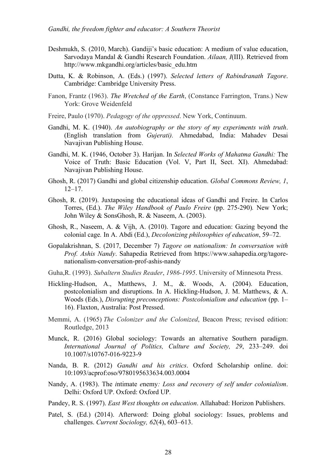- Deshmukh, S. (2010, March). Gandiji's basic education: A medium of value education, Sarvodaya Mandal & Gandhi Research Foundation. *Ailaan, I*(III). Retrieved from http://www.mkgandhi.org/articles/basic\_edu.htm
- Dutta, K. & Robinson, A. (Eds.) (1997). *Selected letters of Rabindranath Tagore*. Cambridge: Cambridge University Press.
- Fanon, Frantz (1963). *The Wretched of the Earth*, (Constance Farrington, Trans.) New York: Grove Weidenfeld
- Freire, Paulo (1970). *Pedagogy of the oppressed*. New York, Continuum.
- Gandhi, M. K. (1940). *An autobiography or the story of my experiments with truth*. (English translation from *Gujerati).* Ahmedabad, India: Mahadev Desai Navajivan Publishing House.
- Gandhi, M. K. (1946, October 3). Harijan. In *Selected Works of Mahatma Gandhi:* The Voice of Truth: Basic Education (Vol. V, Part II, Sect. XI). Ahmedabad: Navajivan Publishing House.
- Ghosh, R. (2017) Gandhi and global citizenship education. *Global Commons Review, 1*, 12–17.
- Ghosh, R. (2019). Juxtaposing the educational ideas of Gandhi and Freire. In Carlos Torres, (Ed.). *The Wiley Handbook of Paulo Freire* (pp. 275-290)*.* New York; John Wiley & SonsGhosh, R. & Naseem, A. (2003).
- Ghosh, R., Naseem, A. & Vijh, A. (2010). Tagore and education: Gazing beyond the colonial cage*.* In A. Abdi (Ed.), *Decolonizing philosophies of education*, 59–72.
- Gopalakrishnan, S. (2017, December 7) *Tagore on nationalism: In conversation with Prof. Ashis Nandy*. Sahapedia Retrieved from https://www.sahapedia.org/tagorenationalism-conversation-prof-ashis-nandy
- Guha,R. (1993). *Subaltern Studies Reader*, *1986-1995*. University of Minnesota Press.
- Hickling-Hudson, A., Matthews, J. M., &. Woods, A. (2004). Education, postcolonialism and disruptions. In A. Hickling-Hudson, J. M. Matthews, & A. Woods (Eds.), *Disrupting preconceptions: Postcolonialism and education* (pp. 1– 16). Flaxton, Australia: Post Pressed.
- Memmi, A. (1965) *The Colonizer and the Colonized*, Beacon Press; revised edition: Routledge, 2013
- Munck, R. (2016) Global sociology: Towards an alternative Southern paradigm. *International Journal of Politics, Culture and Society, 29*, 233–249. doi 10.1007/s10767-016-9223-9
- Nanda, B. R. (2012) *Gandhi and his critics*. Oxford Scholarship online. doi: 10:1093/acprof:oso/9780195633634.003.0004
- Nandy, A. (1983). The *i*ntimate *e*nemy*: Loss and recovery of self under colonialism*. Delhi: Oxford UP. Oxford: Oxford UP.
- Pandey, R. S. (1997). *East West thoughts on education*. Allahabad: Horizon Publishers.
- Patel, S. (Ed.) (2014). Afterword: Doing global sociology: Issues, problems and challenges. *Current Sociology, 62*(4), 603–613.